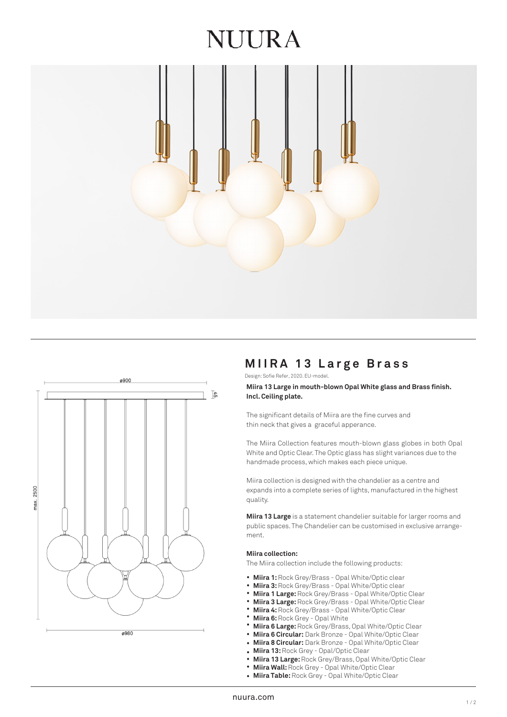# NUIRA





# **MIIRA 13 L arge Brass**

Design: Sofie Refer, 2020. EU-model.

**Miira 13 Large in mouth-blown Opal White glass and Brass finish. Incl. Ceiling plate.**

The significant details of Miira are the fine curves and thin neck that gives a graceful apperance.

The Miira Collection features mouth-blown glass globes in both Opal White and Optic Clear. The Optic glass has slight variances due to the handmade process, which makes each piece unique.

Miira collection is designed with the chandelier as a centre and expands into a complete series of lights, manufactured in the highest quality.

**Miira 13 Large** is a statement chandelier suitable for larger rooms and public spaces. The Chandelier can be customised in exclusive arrangement.

## **Miira collection:**

The Miira collection include the following products:

- Miira 1: Rock Grey/Brass Opal White/Optic clear
- **Miira 3:** Rock Grey/Brass Opal White/Optic clear •
- **Miira 1 Large:** Rock Grey/Brass Opal White/Optic Clear •
- **Miira 3 Large:** Rock Grey/Brass Opal White/Optic Clear •
- **Miira 4:** Rock Grey/Brass Opal White/Optic Clear •
- **Miira 6:** Rock Grey Opal White •
- **Miira 6 Large:** Rock Grey/Brass, Opal White/Optic Clear •
- **Miira 6 Circular:** Dark Bronze Opal White/Optic Clear • •
- **Miira 8 Circular:** Dark Bronze Opal White/Optic Clear
- **Miira 13:** Rock Grey - Opal/Optic Clear
- **Miira 13 Large:** Rock Grey/Brass, Opal White/Optic Clear •
- **Miira Wall:** Rock Grey Opal White/Optic Clear •
- **Miira Table:** Rock Grey Opal White/Optic Clear •